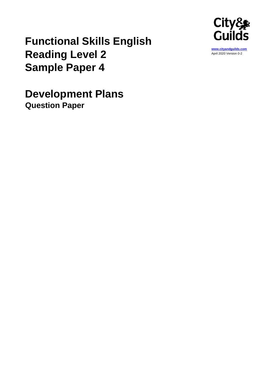

## **Functional Skills English Reading Level 2 Sample Paper 4**

**Development Plans Question Paper**

**[www.cityandguilds.com](http://www.cityandguilds.com/)** April 2020 Version 0-2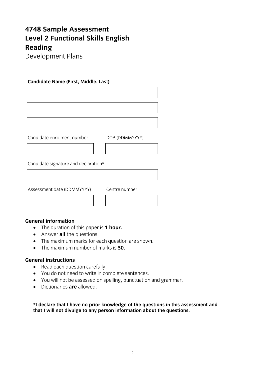# **4748 Sample Assessment Reading**

**Development Plans** Development Plans

### **Candidate Name (First, Middle, Last)**

Candidate enrolment number de la proposition de la proposition de la proposition de la proposition de la propo<br>De la proposition de la proposition de la proposition de la proposition de la proposition de la proposition de

Candidate signature and declaration\*

Assessment date (DDMMYYYY) Centre number

Centre number

- The duration of this paper is **1 hour.**<br>• Answer all the questions
	- Answer **all** the questions.
	- The maximum marks for each question are shown.
	- The maximum number of marks is **30.**

- Read each question carefully.<br>• You do not need to write in co
	- You do not need to write in complete sentences.
	- You will not be assessed on spelling, punctuation and grammar.
	- Dictionaries **are** allowed.

that I will not divulge to any nerson information about the questions **that I will not divulge to any person information about the questions.**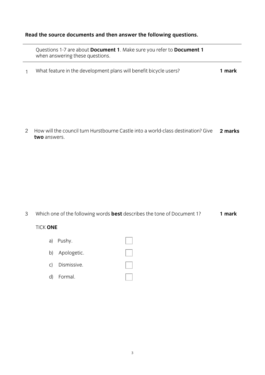### **Read the source documents and then answer the following questions.**

questions 1-7 are about **Document 1-7 and 1**. Make  $\alpha$  **Document 1**. Make  $\alpha$  **Document 1**. Make  $\alpha$ when answering these questions.

1 What feature in the development plans will benefit bicycle users? **1 mark**

2 How will the council turn Hurstbourne Castle into a world-class destination? Give two answers. **two** answers. **2 marks**

3 Which one of the following words **best** describes the tone of Document 1? 1 mark

### **TICK ONE** TICK **ONE**

- a) Pushy.
- b) Apologetic.
- c<sub>)</sub> Dismissive.
- $\ddot{ }$   $\ddot{ }$   $\ddot{ }$   $\ddot{ }$   $\ddot{ }$   $\ddot{ }$   $\ddot{ }$   $\ddot{ }$   $\ddot{ }$   $\ddot{ }$   $\ddot{ }$   $\ddot{ }$   $\ddot{ }$   $\ddot{ }$   $\ddot{ }$   $\ddot{ }$   $\ddot{ }$   $\ddot{ }$   $\ddot{ }$   $\ddot{ }$   $\ddot{ }$   $\ddot{ }$   $\ddot{ }$   $\ddot{ }$   $\ddot{ }$   $\ddot{ }$   $\ddot{ }$   $\ddot{$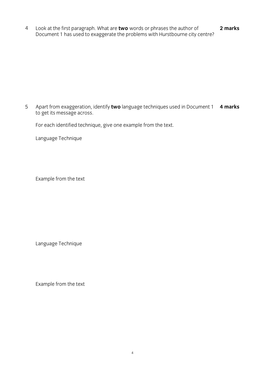4 Look at the first paragraph. What are **two** words or phrases the author of  $\sum_{i=1}^n$  has used to example the problems with Hurstbourne city centre. **2 marks**

5 Apart from exaggeration, identify **two** language techniques used in Document 1 to get its message across. Apart from exaggeration, identify two language techniques used in Document 1 4 marks

For each identified technique, give one example from the text.

Language Technique

Example from the text

Language Technique

Example from the text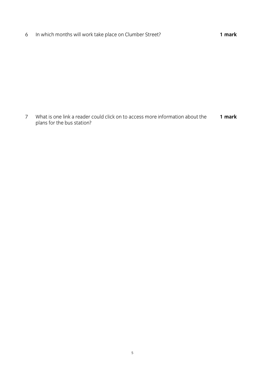6 In which months will work take place on Clumber Street? **1 mark**

 *and for the bus station?* plans for the bus station? **1 mark**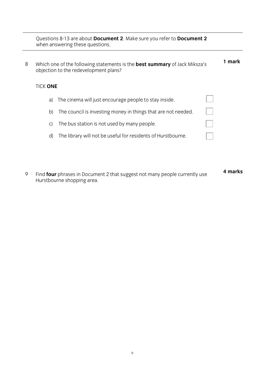Questions 8-13 are about **Document 2**. Make sure you refer to **Document 2** when answering these questions.

| Which one of the following statements is the best summary of Jack Miksza's<br>objection to the redevelopment plans? |                                                               |                 | l mark |
|---------------------------------------------------------------------------------------------------------------------|---------------------------------------------------------------|-----------------|--------|
|                                                                                                                     |                                                               |                 |        |
| a)                                                                                                                  | The cinema will just encourage people to stay inside.         |                 |        |
| b)                                                                                                                  | The council is investing money in things that are not needed. |                 |        |
| C)                                                                                                                  | The bus station is not used by many people.                   |                 |        |
|                                                                                                                     |                                                               | TICK <b>ONE</b> |        |

- d) The library will not be useful for residents of Hurstbourne.
- 4 marks **4 marks**9 Find Four phrases in Document 2 that suggest not many people currently use.<br>Hursthourne shonning area  $\mathcal{L}_{\text{H}}$  is shown shown shown as  $\mathcal{L}_{\text{H}}$  is a set of  $\mathcal{L}_{\text{H}}$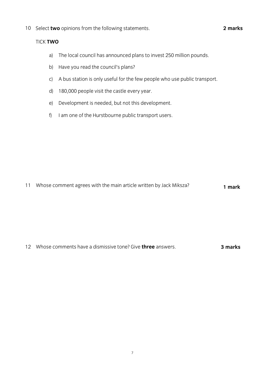10 Select **two** opinions from the following statements.

- a) The local council has announced plans to invest 250 million pounds.
- b) Have you read the council's plans?
- c) A bus station is only useful for the few people who use public transport.
- d) 180,000 people visit the castle every year.
- e) Development is needed, but not this development.
- f) I am one of the Hurstbourne public transport users.

11 Whose comment agrees with the main article written by Jack Miksza? **1 mark**

12 Whose comments have a dismissive tone? Give **three** answers. **3 marks**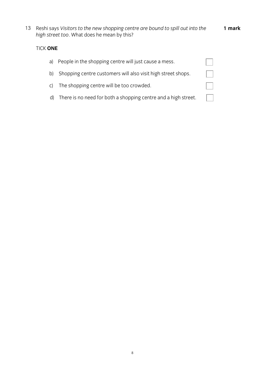**1 mark**

13 Reshi says *Visitors to the new shopping centre are bound to spill out into the high street too*. What does he mean by this?

### TICK **ONE**

| a) | People in the shopping centre will just cause a mess.             |  |
|----|-------------------------------------------------------------------|--|
|    | b) Shopping centre customers will also visit high street shops.   |  |
|    | c) The shopping centre will be too crowded.                       |  |
|    | d) There is no need for both a shopping centre and a high street. |  |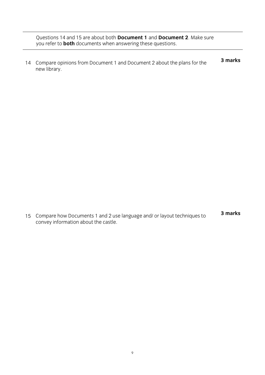Questions 14 and 15 are about both **Document 1** and **Document 2**. Make sure you refer to **both** documents when answering these questions.

3 marks 14 Compare opinions from Document 1 and Document 2 about the plans for the **3 marks** new library.

 $\frac{1}{2}$  convev information about the castle complete the contract the castle **3 marks**